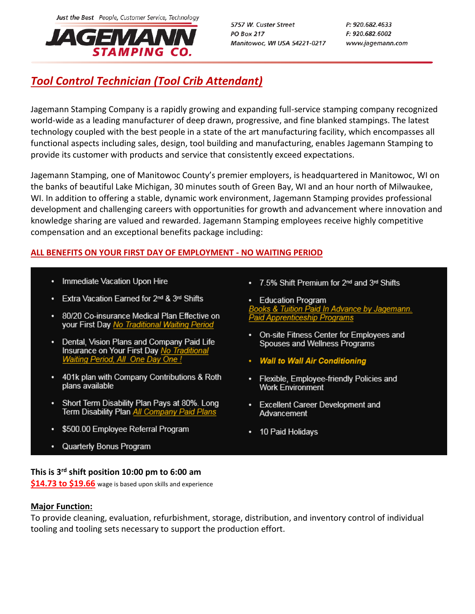Just the Best People, Customer Service, Technology



5757 W. Custer Street **PO Box 217** Manitowoc, WI USA 54221-0217 P: 920.682.4633 F: 920.682.6002 www.jagemann.com

# *Tool Control Technician (Tool Crib Attendant)*

Jagemann Stamping Company is a rapidly growing and expanding full-service stamping company recognized world-wide as a leading manufacturer of deep drawn, progressive, and fine blanked stampings. The latest technology coupled with the best people in a state of the art manufacturing facility, which encompasses all functional aspects including sales, design, tool building and manufacturing, enables Jagemann Stamping to provide its customer with products and service that consistently exceed expectations.

Jagemann Stamping, one of Manitowoc County's premier employers, is headquartered in Manitowoc, WI on the banks of beautiful Lake Michigan, 30 minutes south of Green Bay, WI and an hour north of Milwaukee, WI. In addition to offering a stable, dynamic work environment, Jagemann Stamping provides professional development and challenging careers with opportunities for growth and advancement where innovation and knowledge sharing are valued and rewarded. Jagemann Stamping employees receive highly competitive compensation and an exceptional benefits package including:

## **ALL BENEFITS ON YOUR FIRST DAY OF EMPLOYMENT - NO WAITING PERIOD**

- Immediate Vacation Upon Hire
- Extra Vacation Earned for 2<sup>nd</sup> & 3<sup>rd</sup> Shifts
- 80/20 Co-insurance Medical Plan Effective on your First Day No Traditional Waiting Period
- Dental, Vision Plans and Company Paid Life Insurance on Your First Day No Traditional Waiting Period, All One Day One !
- 401k plan with Company Contributions & Roth plans available
- Short Term Disability Plan Pays at 80%. Long Term Disability Plan All Company Paid Plans
- \$500.00 Employee Referral Program
- Quarterly Bonus Program
- 7.5% Shift Premium for 2<sup>nd</sup> and 3<sup>rd</sup> Shifts
- Education Program ooks & Tuition Paid In Advance by Jagemann. **Paid Apprenticeship Programs**
- On-site Fitness Center for Employees and Spouses and Wellness Programs
- Wall to Wall Air Conditioning
- Flexible, Employee-friendly Policies and **Work Environment**
- Excellent Career Development and Advancement
- 10 Paid Holidays

#### **This is 3rd shift position 10:00 pm to 6:00 am**

**\$14.73 to \$19.66** wage is based upon skills and experience

#### **Major Function:**

To provide cleaning, evaluation, refurbishment, storage, distribution, and inventory control of individual tooling and tooling sets necessary to support the production effort.